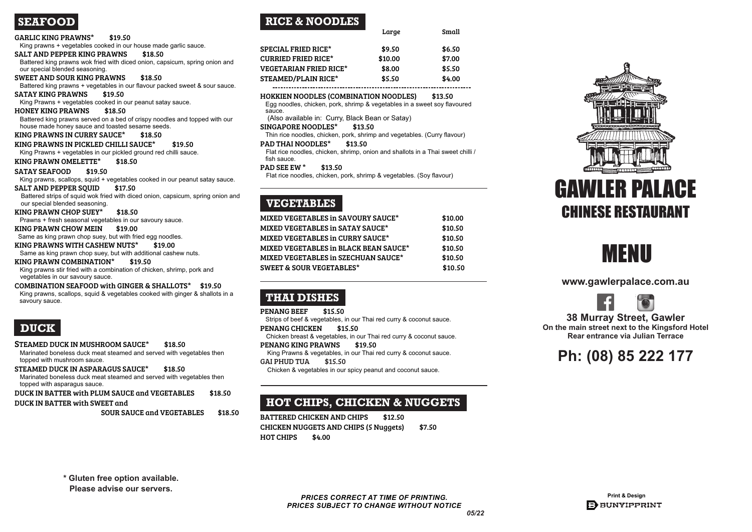Marinated boneless duck meat steamed and served with vegetables then topped with mushroom sauce.

### STEAMED DUCK IN ASPARAGUS SAUCE\* \$18.50

Marinated boneless duck meat steamed and served with vegetables then topped with asparagus sauce.

DUCK IN BATTER with PLUM SAUCE and VEGETABLES \$18.50

### DUCK IN BATTER with SWEET and

SOUR SAUCE and VEGETABLES \$18.50

Egg noodles, chicken, pork, shrimp & vegetables in a sweet soy flavoured sauce.

Strips of beef & vegetables, in our Thai red curry & coconut sauce. PENANG CHICKEN \$15.50

BATTERED CHICKEN AND CHIPS \$12.50 CHICKEN NUGGETS AND CHIPS (5 Nuggets) \$7.50 HOT CHIPS \$4.00

| УШИМ<br>$\sim$                                                                                                                 |
|--------------------------------------------------------------------------------------------------------------------------------|
| <b>GARLIC KING PRAWNS*</b><br>\$19.50                                                                                          |
| King prawns + vegetables cooked in our house made garlic sauce.                                                                |
| <b>SALT AND PEPPER KING PRAWNS</b><br>\$18.50                                                                                  |
| Battered king prawns wok fried with diced onion, capsicum, spring onion and                                                    |
| our special blended seasoning.                                                                                                 |
| <b>SWEET AND SOUR KING PRAWNS</b><br>\$18.50                                                                                   |
| Battered king prawns + vegetables in our flavour packed sweet & sour sauce.                                                    |
| <b>SATAY KING PRAWNS</b><br>\$19.50                                                                                            |
| King Prawns + vegetables cooked in our peanut satay sauce.                                                                     |
| <b>HONEY KING PRAWNS</b><br>\$18.50                                                                                            |
| Battered king prawns served on a bed of crispy noodles and topped with our<br>house made honey sauce and toasted sesame seeds. |
| <b>KING PRAWNS IN CURRY SAUCE*</b><br>\$18.50                                                                                  |
| KING PRAWNS IN PICKLED CHILLI SAUCE*<br>\$19.50                                                                                |
| King Prawns + vegetables in our pickled ground red chilli sauce.                                                               |
| <b>KING PRAWN OMELETTE*</b><br>\$18.50                                                                                         |
| <b>SATAY SEAFOOD</b><br>\$19.50                                                                                                |
| King prawns, scallops, squid + vegetables cooked in our peanut satay sauce.                                                    |
| \$17.50<br><b>SALT AND PEPPER SQUID</b>                                                                                        |
| Battered strips of squid wok fried with diced onion, capsicum, spring onion and<br>our special blended seasoning.              |
| <b>KING PRAWN CHOP SUEY*</b><br>\$18.50                                                                                        |
| Prawns + fresh seasonal vegetables in our savoury sauce.                                                                       |
| <b>KING PRAWN CHOW MEIN</b><br>\$19.00                                                                                         |
| Same as king prawn chop suey, but with fried egg noodles.                                                                      |
| KING PRAWNS WITH CASHEW NUTS*<br>\$19.00                                                                                       |
| Same as king prawn chop suey, but with additional cashew nuts.                                                                 |
| KING PRAWN COMBINATION*<br>\$19.50                                                                                             |
| King prawns stir fried with a combination of chicken, shrimp, pork and                                                         |
| vegetables in our savoury sauce.                                                                                               |
| <b>COMBINATION SEAFOOD with GINGER &amp; SHALLOTS*</b><br>\$19.50                                                              |
| King prawns, scallops, squid & vegetables cooked with ginger & shallots in a                                                   |
| savoury sauce.                                                                                                                 |
|                                                                                                                                |
|                                                                                                                                |
| <b>DUCK</b>                                                                                                                    |

## STEAMED DUCK IN MUSHROOM SAUCE\* \$18.50

|                               | Large   | Small  |
|-------------------------------|---------|--------|
| <b>SPECIAL FRIED RICE*</b>    | \$9.50  | \$6.50 |
| <b>CURRIED FRIED RICE*</b>    | \$10.00 | \$7.00 |
| <b>VEGETARIAN FRIED RICE*</b> | \$8.00  | \$5.50 |
| <b>STEAMED/PLAIN RICE*</b>    | \$5.50  | \$4.00 |
|                               |         |        |

### HOKKIEN NOODLES (COMBINATION NOODLES) \$13.50

(Also available in: Curry, Black Bean or Satay)

### SINGAPORE NOODLES\* \$13.50

Thin rice noodles, chicken, pork, shrimp and vegetables. (Curry flavour)

## PAD THAI NOODLES<sup>\*</sup> \$13.50

Flat rice noodles, chicken, shrimp, onion and shallots in a Thai sweet chilli / fish sauce.

### PAD SEE EW \*  $$13.50$

Flat rice noodles, chicken, pork, shrimp & vegetables. (Soy flavour)

| <b>MIXED VEGETABLES in SAVOURY SAUCE*</b>    | \$10.00 |
|----------------------------------------------|---------|
| <b>MIXED VEGETABLES in SATAY SAUCE*</b>      | \$10.50 |
| <b>MIXED VEGETABLES in CURRY SAUCE*</b>      | \$10.50 |
| <b>MIXED VEGETABLES in BLACK BEAN SAUCE*</b> | \$10.50 |
| <b>MIXED VEGETABLES in SZECHUAN SAUCE*</b>   | \$10.50 |
| <b>SWEET &amp; SOUR VEGETABLES*</b>          | \$10.50 |
|                                              |         |

## **sRICE & NOODLES**

Chicken breast & vegetables, in our Thai red curry & coconut sauce.

## PENANG KING PRAWNS \$19.50

King Prawns & vegetables, in our Thai red curry & coconut sauce.

GAI PHUD TUA \$15.50

Chicken & vegetables in our spicy peanut and coconut sauce.





**www.gawlerpalace.com.au**





**38 Murray Street, Gawler** 

## **THAI DISHES**

PENANG BEEF \$15.50

## **HOT CHIPS, CHICKEN & NUGGETS**

**On the main street next to the Kingsford Hotel Rear entrance via Julian Terrace**

# **Ph: (08) 85 222 177**

## **SEAFOOD**

**\* Gluten free option available.**

**Please advise our servers.**



## **VEGETABLES**